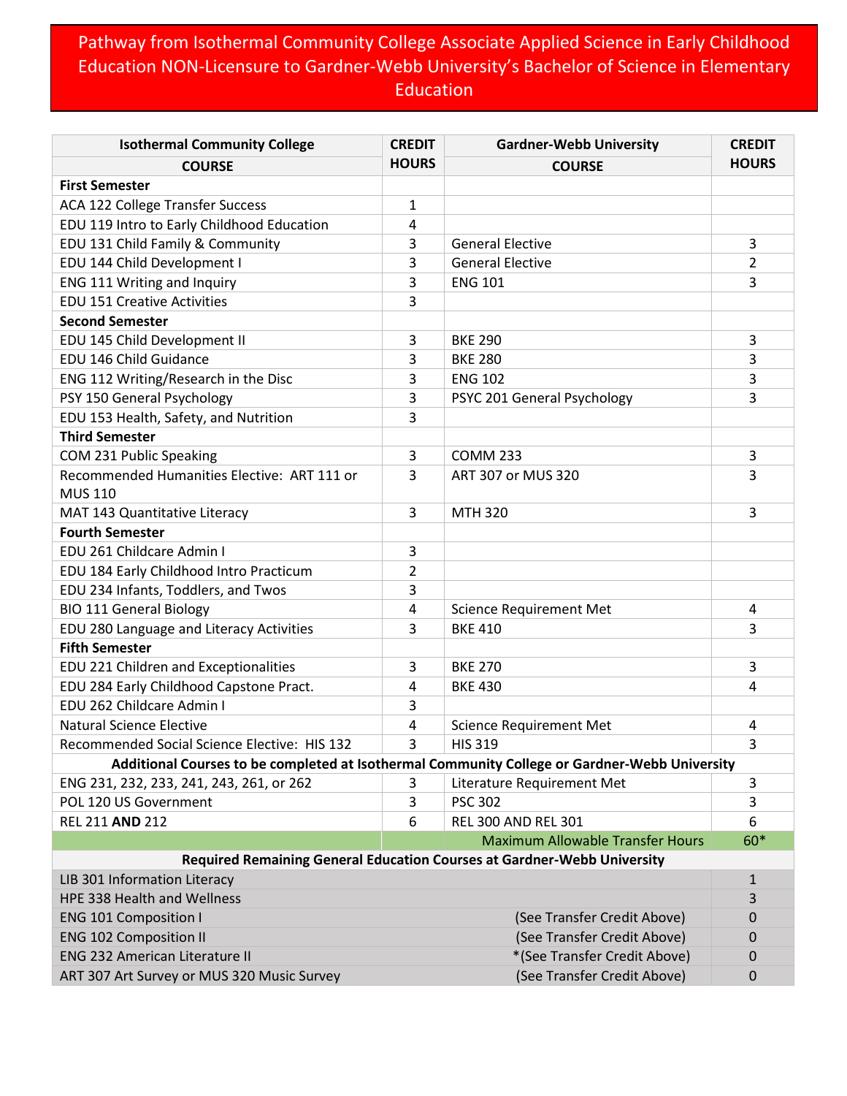## Pathway from Isothermal Community College Associate Applied Science in Early Childhood Education NON-Licensure to Gardner-Webb University's Bachelor of Science in Elementary **Education**

| <b>Isothermal Community College</b>          | <b>CREDIT</b> | <b>Gardner-Webb University</b>                                                                | <b>CREDIT</b> |
|----------------------------------------------|---------------|-----------------------------------------------------------------------------------------------|---------------|
| <b>COURSE</b>                                | <b>HOURS</b>  | <b>COURSE</b>                                                                                 | <b>HOURS</b>  |
| <b>First Semester</b>                        |               |                                                                                               |               |
| ACA 122 College Transfer Success             | 1             |                                                                                               |               |
| EDU 119 Intro to Early Childhood Education   | 4             |                                                                                               |               |
| EDU 131 Child Family & Community             | 3             | <b>General Elective</b>                                                                       | 3             |
| EDU 144 Child Development I                  | 3             | <b>General Elective</b>                                                                       | 2             |
| ENG 111 Writing and Inquiry                  | 3             | <b>ENG 101</b>                                                                                | 3             |
| <b>EDU 151 Creative Activities</b>           | 3             |                                                                                               |               |
| <b>Second Semester</b>                       |               |                                                                                               |               |
| EDU 145 Child Development II                 | 3             | <b>BKE 290</b>                                                                                | 3             |
| EDU 146 Child Guidance                       | 3             | <b>BKE 280</b>                                                                                | 3             |
| ENG 112 Writing/Research in the Disc         | 3             | <b>ENG 102</b>                                                                                | 3             |
| PSY 150 General Psychology                   | 3             | PSYC 201 General Psychology                                                                   | 3             |
| EDU 153 Health, Safety, and Nutrition        | 3             |                                                                                               |               |
| <b>Third Semester</b>                        |               |                                                                                               |               |
| COM 231 Public Speaking                      | 3             | <b>COMM 233</b>                                                                               | 3             |
| Recommended Humanities Elective: ART 111 or  | 3             | ART 307 or MUS 320                                                                            | 3             |
| <b>MUS 110</b>                               |               |                                                                                               |               |
| MAT 143 Quantitative Literacy                | 3             | <b>MTH 320</b>                                                                                | 3             |
| <b>Fourth Semester</b>                       |               |                                                                                               |               |
| EDU 261 Childcare Admin I                    | 3             |                                                                                               |               |
| EDU 184 Early Childhood Intro Practicum      | 2             |                                                                                               |               |
| EDU 234 Infants, Toddlers, and Twos          | 3             |                                                                                               |               |
| <b>BIO 111 General Biology</b>               | 4             | <b>Science Requirement Met</b>                                                                | 4             |
| EDU 280 Language and Literacy Activities     | 3             | <b>BKE 410</b>                                                                                | 3             |
| <b>Fifth Semester</b>                        |               |                                                                                               |               |
| EDU 221 Children and Exceptionalities        | 3             | <b>BKE 270</b>                                                                                | 3             |
| EDU 284 Early Childhood Capstone Pract.      | 4             | <b>BKE 430</b>                                                                                | 4             |
| EDU 262 Childcare Admin I                    | 3             |                                                                                               |               |
| <b>Natural Science Elective</b>              | 4             | <b>Science Requirement Met</b>                                                                | 4             |
| Recommended Social Science Elective: HIS 132 | 3             | <b>HIS 319</b>                                                                                | 3             |
|                                              |               | Additional Courses to be completed at Isothermal Community College or Gardner-Webb University |               |
| ENG 231, 232, 233, 241, 243, 261, or 262     | 3             | Literature Requirement Met                                                                    | 3             |
| POL 120 US Government                        | 3             | <b>PSC 302</b>                                                                                | 3             |
| REL 211 AND 212                              | 6             | <b>REL 300 AND REL 301</b>                                                                    | 6             |
|                                              |               | <b>Maximum Allowable Transfer Hours</b>                                                       | 60*           |
|                                              |               | Required Remaining General Education Courses at Gardner-Webb University                       |               |
| LIB 301 Information Literacy                 |               |                                                                                               | $\mathbf{1}$  |
| HPE 338 Health and Wellness                  |               |                                                                                               | 3             |
| <b>ENG 101 Composition I</b>                 |               | (See Transfer Credit Above)                                                                   | 0             |
| <b>ENG 102 Composition II</b>                |               | (See Transfer Credit Above)                                                                   | 0             |
| <b>ENG 232 American Literature II</b>        |               | *(See Transfer Credit Above)                                                                  | $\mathbf 0$   |
| ART 307 Art Survey or MUS 320 Music Survey   |               | (See Transfer Credit Above)                                                                   | $\mathbf 0$   |